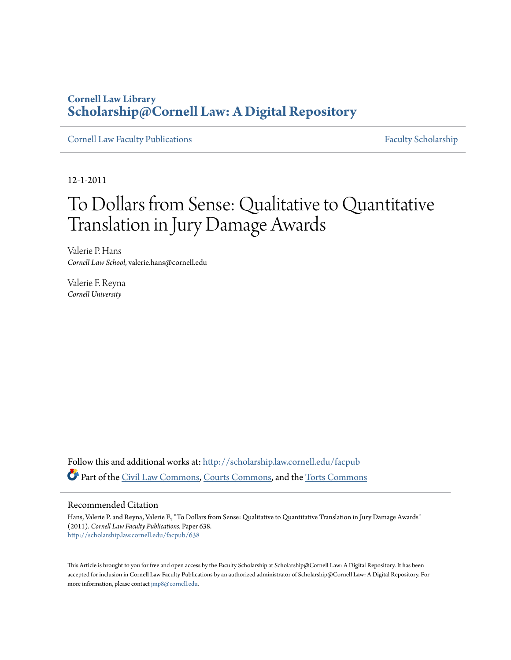## **Cornell Law Library [Scholarship@Cornell Law: A Digital Repository](http://scholarship.law.cornell.edu?utm_source=scholarship.law.cornell.edu%2Ffacpub%2F638&utm_medium=PDF&utm_campaign=PDFCoverPages)**

[Cornell Law Faculty Publications](http://scholarship.law.cornell.edu/facpub?utm_source=scholarship.law.cornell.edu%2Ffacpub%2F638&utm_medium=PDF&utm_campaign=PDFCoverPages) [Faculty Scholarship](http://scholarship.law.cornell.edu/facsch?utm_source=scholarship.law.cornell.edu%2Ffacpub%2F638&utm_medium=PDF&utm_campaign=PDFCoverPages)

12-1-2011

# To Dollars from Sense: Qualitative to Quantitative Translation in Jury Damage Awards

Valerie P. Hans *Cornell Law School*, valerie.hans@cornell.edu

Valerie F. Reyna *Cornell University*

Follow this and additional works at: [http://scholarship.law.cornell.edu/facpub](http://scholarship.law.cornell.edu/facpub?utm_source=scholarship.law.cornell.edu%2Ffacpub%2F638&utm_medium=PDF&utm_campaign=PDFCoverPages) Part of the [Civil Law Commons](http://network.bepress.com/hgg/discipline/835?utm_source=scholarship.law.cornell.edu%2Ffacpub%2F638&utm_medium=PDF&utm_campaign=PDFCoverPages), [Courts Commons](http://network.bepress.com/hgg/discipline/839?utm_source=scholarship.law.cornell.edu%2Ffacpub%2F638&utm_medium=PDF&utm_campaign=PDFCoverPages), and the [Torts Commons](http://network.bepress.com/hgg/discipline/913?utm_source=scholarship.law.cornell.edu%2Ffacpub%2F638&utm_medium=PDF&utm_campaign=PDFCoverPages)

### Recommended Citation

Hans, Valerie P. and Reyna, Valerie F., "To Dollars from Sense: Qualitative to Quantitative Translation in Jury Damage Awards" (2011). *Cornell Law Faculty Publications.* Paper 638. [http://scholarship.law.cornell.edu/facpub/638](http://scholarship.law.cornell.edu/facpub/638?utm_source=scholarship.law.cornell.edu%2Ffacpub%2F638&utm_medium=PDF&utm_campaign=PDFCoverPages)

This Article is brought to you for free and open access by the Faculty Scholarship at Scholarship@Cornell Law: A Digital Repository. It has been accepted for inclusion in Cornell Law Faculty Publications by an authorized administrator of Scholarship@Cornell Law: A Digital Repository. For more information, please contact [jmp8@cornell.edu.](mailto:jmp8@cornell.edu)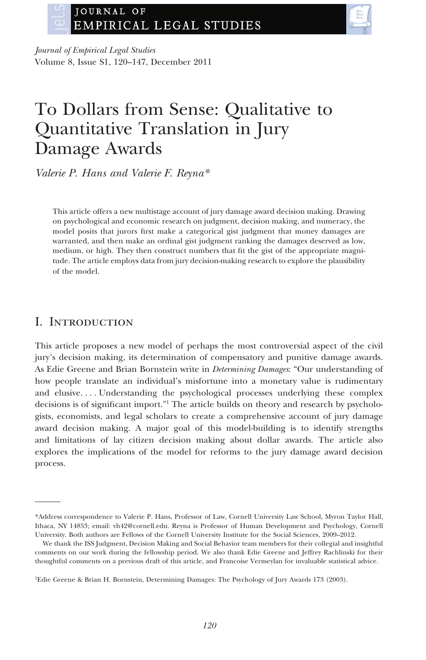

*Journal of Empirical Legal Studies* Volume 8, Issue S1, 120–147, December 2011

## To Dollars from Sense: Qualitative to Quantitative Translation in Jury Damage Awards

*Valerie P. Hans and Valerie F. Reyna\**

This article offers a new multistage account of jury damage award decision making. Drawing on psychological and economic research on judgment, decision making, and numeracy, the model posits that jurors first make a categorical gist judgment that money damages are warranted, and then make an ordinal gist judgment ranking the damages deserved as low, medium, or high. They then construct numbers that fit the gist of the appropriate magnitude. The article employs data from jury decision-making research to explore the plausibility of the model.

## I. Introduction

This article proposes a new model of perhaps the most controversial aspect of the civil jury's decision making, its determination of compensatory and punitive damage awards. As Edie Greene and Brian Bornstein write in *Determining Damages*: "Our understanding of how people translate an individual's misfortune into a monetary value is rudimentary and elusive....Understanding the psychological processes underlying these complex decisions is of significant import."1 The article builds on theory and research by psychologists, economists, and legal scholars to create a comprehensive account of jury damage award decision making. A major goal of this model-building is to identify strengths and limitations of lay citizen decision making about dollar awards. The article also explores the implications of the model for reforms to the jury damage award decision process.

<sup>\*</sup>Address correspondence to Valerie P. Hans, Professor of Law, Cornell University Law School, Myron Taylor Hall, Ithaca, NY 14853; email: vh42@cornell.edu. Reyna is Professor of Human Development and Psychology, Cornell University. Both authors are Fellows of the Cornell University Institute for the Social Sciences, 2009–2012.

We thank the ISS Judgment, Decision Making and Social Behavior team members for their collegial and insightful comments on our work during the fellowship period. We also thank Edie Greene and Jeffrey Rachlinski for their thoughtful comments on a previous draft of this article, and Francoise Vermeylan for invaluable statistical advice.

<sup>1</sup> Edie Greene & Brian H. Bornstein, Determining Damages: The Psychology of Jury Awards 173 (2003).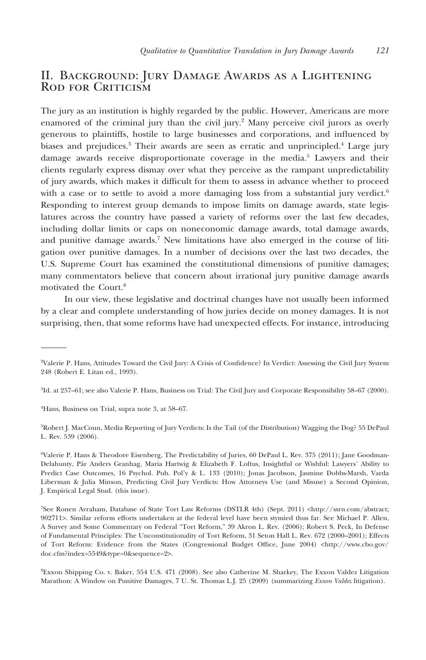## II. Background: Jury Damage Awards as a Lightening ROD FOR CRITICISM

The jury as an institution is highly regarded by the public. However, Americans are more enamored of the criminal jury than the civil jury.<sup>2</sup> Many perceive civil jurors as overly generous to plaintiffs, hostile to large businesses and corporations, and influenced by biases and prejudices.<sup>3</sup> Their awards are seen as erratic and unprincipled.<sup>4</sup> Large jury damage awards receive disproportionate coverage in the media.<sup>5</sup> Lawyers and their clients regularly express dismay over what they perceive as the rampant unpredictability of jury awards, which makes it difficult for them to assess in advance whether to proceed with a case or to settle to avoid a more damaging loss from a substantial jury verdict.<sup>6</sup> Responding to interest group demands to impose limits on damage awards, state legislatures across the country have passed a variety of reforms over the last few decades, including dollar limits or caps on noneconomic damage awards, total damage awards, and punitive damage awards.7 New limitations have also emerged in the course of litigation over punitive damages. In a number of decisions over the last two decades, the U.S. Supreme Court has examined the constitutional dimensions of punitive damages; many commentators believe that concern about irrational jury punitive damage awards motivated the Court.8

In our view, these legislative and doctrinal changes have not usually been informed by a clear and complete understanding of how juries decide on money damages. It is not surprising, then, that some reforms have had unexpected effects. For instance, introducing

4 Hans, Business on Trial, supra note 3, at 58–67.

5 Robert J. MacCoun, Media Reporting of Jury Verdicts: Is the Tail (of the Distribution) Wagging the Dog? 55 DePaul L. Rev. 539 (2006).

6 Valerie P. Hans & Theodore Eisenberg, The Predictability of Juries, 60 DePaul L. Rev. 375 (2011); Jane Goodman-Delahunty, Pär Anders Granhag, Maria Hartwig & Elizabeth F. Loftus, Insightful or Wishful: Lawyers' Ability to Predict Case Outcomes, 16 Psychol. Pub. Pol'y & L. 133 (2010); Jonas Jacobson, Jasmine Dobbs-Marsh, Varda Liberman & Julia Minson, Predicting Civil Jury Verdicts: How Attorneys Use (and Misuse) a Second Opinion, J. Empirical Legal Stud. (this issue).

7 See Ronen Avraham, Database of State Tort Law Reforms (DSTLR 4th) (Sept. 2011) <http://ssrn.com/abstract; 902711>. Similar reform efforts undertaken at the federal level have been stymied thus far. See Michael P. Allen, A Survey and Some Commentary on Federal "Tort Reform," 39 Akron L. Rev. (2006); Robert S. Peck, In Defense of Fundamental Principles: The Unconstitutionality of Tort Reform, 31 Seton Hall L. Rev. 672 (2000–2001); Effects of Tort Reform: Evidence from the States (Congressional Budget Office, June 2004) <http://www.cbo.gov/ doc.cfm?index=5549&type=0&sequence=2>.

8 Exxon Shipping Co. v. Baker, 554 U.S. 471 (2008). See also Catherine M. Sharkey, The Exxon Valdez Litigation Marathon: A Window on Punitive Damages, 7 U. St. Thomas L.J. 25 (2009) (summarizing *Exxon Valdez* litigation).

<sup>2</sup> Valerie P. Hans, Attitudes Toward the Civil Jury: A Crisis of Confidence? In Verdict: Assessing the Civil Jury System 248 (Robert E. Litan ed., 1993).

<sup>3</sup> Id. at 257–61; see also Valerie P. Hans, Business on Trial: The Civil Jury and Corporate Responsibility 58–67 (2000).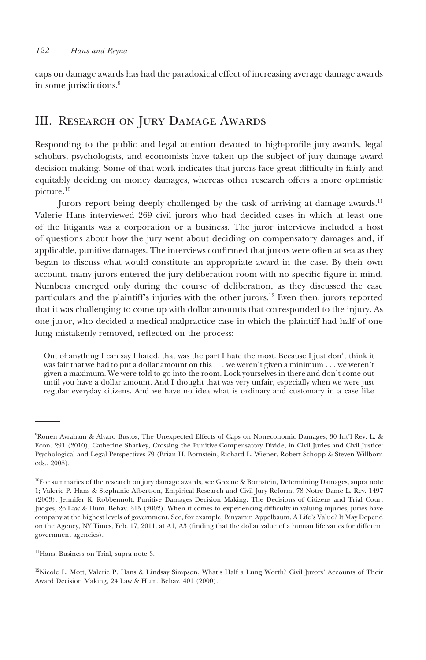caps on damage awards has had the paradoxical effect of increasing average damage awards in some jurisdictions.9

## III. RESEARCH ON JURY DAMAGE AWARDS

Responding to the public and legal attention devoted to high-profile jury awards, legal scholars, psychologists, and economists have taken up the subject of jury damage award decision making. Some of that work indicates that jurors face great difficulty in fairly and equitably deciding on money damages, whereas other research offers a more optimistic picture.10

Jurors report being deeply challenged by the task of arriving at damage awards.<sup>11</sup> Valerie Hans interviewed 269 civil jurors who had decided cases in which at least one of the litigants was a corporation or a business. The juror interviews included a host of questions about how the jury went about deciding on compensatory damages and, if applicable, punitive damages. The interviews confirmed that jurors were often at sea as they began to discuss what would constitute an appropriate award in the case. By their own account, many jurors entered the jury deliberation room with no specific figure in mind. Numbers emerged only during the course of deliberation, as they discussed the case particulars and the plaintiff's injuries with the other jurors.12 Even then, jurors reported that it was challenging to come up with dollar amounts that corresponded to the injury. As one juror, who decided a medical malpractice case in which the plaintiff had half of one lung mistakenly removed, reflected on the process:

Out of anything I can say I hated, that was the part I hate the most. Because I just don't think it was fair that we had to put a dollar amount on this . . . we weren't given a minimum . . . we weren't given a maximum. We were told to go into the room. Lock yourselves in there and don't come out until you have a dollar amount. And I thought that was very unfair, especially when we were just regular everyday citizens. And we have no idea what is ordinary and customary in a case like

11Hans, Business on Trial, supra note 3.

<sup>9</sup> Ronen Avraham & Álvaro Bustos, The Unexpected Effects of Caps on Noneconomic Damages, 30 Int'l Rev. L. & Econ. 291 (2010); Catherine Sharkey, Crossing the Punitive-Compensatory Divide, in Civil Juries and Civil Justice: Psychological and Legal Perspectives 79 (Brian H. Bornstein, Richard L. Wiener, Robert Schopp & Steven Willborn eds., 2008).

 $10$ For summaries of the research on jury damage awards, see Greene & Bornstein, Determining Damages, supra note 1; Valerie P. Hans & Stephanie Albertson, Empirical Research and Civil Jury Reform, 78 Notre Dame L. Rev. 1497 (2003); Jennifer K. Robbennolt, Punitive Damages Decision Making: The Decisions of Citizens and Trial Court Judges, 26 Law & Hum. Behav. 315 (2002). When it comes to experiencing difficulty in valuing injuries, juries have company at the highest levels of government. See, for example, Binyamin Appelbaum, A Life's Value? It May Depend on the Agency, NY Times, Feb. 17, 2011, at A1, A3 (finding that the dollar value of a human life varies for different government agencies).

<sup>&</sup>lt;sup>12</sup>Nicole L. Mott, Valerie P. Hans & Lindsay Simpson, What's Half a Lung Worth? Civil Jurors' Accounts of Their Award Decision Making, 24 Law & Hum. Behav. 401 (2000).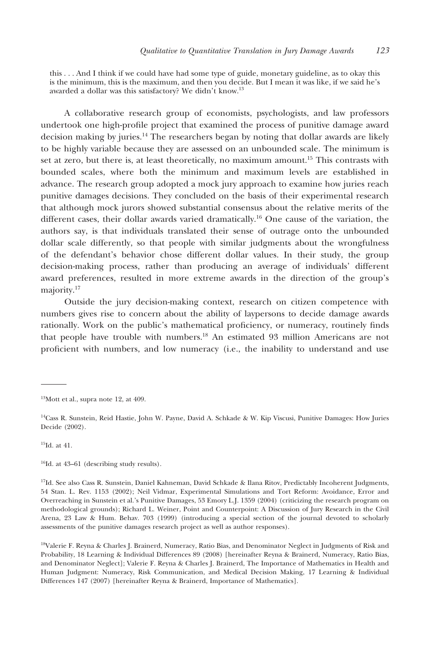this . . . And I think if we could have had some type of guide, monetary guideline, as to okay this is the minimum, this is the maximum, and then you decide. But I mean it was like, if we said he's awarded a dollar was this satisfactory? We didn't know.13

A collaborative research group of economists, psychologists, and law professors undertook one high-profile project that examined the process of punitive damage award decision making by juries.14 The researchers began by noting that dollar awards are likely to be highly variable because they are assessed on an unbounded scale. The minimum is set at zero, but there is, at least theoretically, no maximum amount.15 This contrasts with bounded scales, where both the minimum and maximum levels are established in advance. The research group adopted a mock jury approach to examine how juries reach punitive damages decisions. They concluded on the basis of their experimental research that although mock jurors showed substantial consensus about the relative merits of the different cases, their dollar awards varied dramatically.16 One cause of the variation, the authors say, is that individuals translated their sense of outrage onto the unbounded dollar scale differently, so that people with similar judgments about the wrongfulness of the defendant's behavior chose different dollar values. In their study, the group decision-making process, rather than producing an average of individuals' different award preferences, resulted in more extreme awards in the direction of the group's majority.17

Outside the jury decision-making context, research on citizen competence with numbers gives rise to concern about the ability of laypersons to decide damage awards rationally. Work on the public's mathematical proficiency, or numeracy, routinely finds that people have trouble with numbers.18 An estimated 93 million Americans are not proficient with numbers, and low numeracy (i.e., the inability to understand and use

15Id. at 41.

16Id. at 43–61 (describing study results).

<sup>13</sup>Mott et al., supra note 12, at 409.

<sup>&</sup>lt;sup>14</sup>Cass R. Sunstein, Reid Hastie, John W. Payne, David A. Schkade & W. Kip Viscusi, Punitive Damages: How Juries Decide (2002).

<sup>&</sup>lt;sup>17</sup>Id. See also Cass R. Sunstein, Daniel Kahneman, David Schkade & Ilana Ritov, Predictably Incoherent Judgments, 54 Stan. L. Rev. 1153 (2002); Neil Vidmar, Experimental Simulations and Tort Reform: Avoidance, Error and Overreaching in Sunstein et al.'s Punitive Damages, 53 Emory L.J. 1359 (2004) (criticizing the research program on methodological grounds); Richard L. Weiner, Point and Counterpoint: A Discussion of Jury Research in the Civil Arena, 23 Law & Hum. Behav. 703 (1999) (introducing a special section of the journal devoted to scholarly assessments of the punitive damages research project as well as author responses).

<sup>18</sup>Valerie F. Reyna & Charles J. Brainerd, Numeracy, Ratio Bias, and Denominator Neglect in Judgments of Risk and Probability, 18 Learning & Individual Differences 89 (2008) [hereinafter Reyna & Brainerd, Numeracy, Ratio Bias, and Denominator Neglect]; Valerie F. Reyna & Charles J. Brainerd, The Importance of Mathematics in Health and Human Judgment: Numeracy, Risk Communication, and Medical Decision Making, 17 Learning & Individual Differences 147 (2007) [hereinafter Reyna & Brainerd, Importance of Mathematics].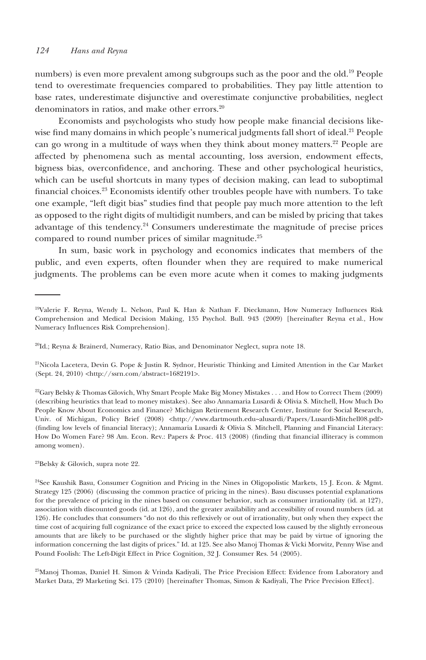numbers) is even more prevalent among subgroups such as the poor and the old.<sup>19</sup> People tend to overestimate frequencies compared to probabilities. They pay little attention to base rates, underestimate disjunctive and overestimate conjunctive probabilities, neglect denominators in ratios, and make other errors.<sup>20</sup>

Economists and psychologists who study how people make financial decisions likewise find many domains in which people's numerical judgments fall short of ideal.<sup>21</sup> People can go wrong in a multitude of ways when they think about money matters.<sup>22</sup> People are affected by phenomena such as mental accounting, loss aversion, endowment effects, bigness bias, overconfidence, and anchoring. These and other psychological heuristics, which can be useful shortcuts in many types of decision making, can lead to suboptimal financial choices.23 Economists identify other troubles people have with numbers. To take one example, "left digit bias" studies find that people pay much more attention to the left as opposed to the right digits of multidigit numbers, and can be misled by pricing that takes advantage of this tendency.24 Consumers underestimate the magnitude of precise prices compared to round number prices of similar magnitude.25

In sum, basic work in psychology and economics indicates that members of the public, and even experts, often flounder when they are required to make numerical judgments. The problems can be even more acute when it comes to making judgments

23Belsky & Gilovich, supra note 22.

<sup>19</sup>Valerie F. Reyna, Wendy L. Nelson, Paul K. Han & Nathan F. Dieckmann, How Numeracy Influences Risk Comprehension and Medical Decision Making, 135 Psychol. Bull. 943 (2009) [hereinafter Reyna et al., How Numeracy Influences Risk Comprehension].

<sup>&</sup>lt;sup>20</sup>Id.; Reyna & Brainerd, Numeracy, Ratio Bias, and Denominator Neglect, supra note 18.

<sup>21</sup>Nicola Lacetera, Devin G. Pope & Justin R. Sydnor, Heuristic Thinking and Limited Attention in the Car Market (Sept. 24, 2010) <http://ssrn.com/abstract=1682191>.

<sup>22</sup>Gary Belsky & Thomas Gilovich, Why Smart People Make Big Money Mistakes . . . and How to Correct Them (2009) (describing heuristics that lead to money mistakes). See also Annamaria Lusardi & Olivia S. Mitchell, How Much Do People Know About Economics and Finance? Michigan Retirement Research Center, Institute for Social Research, Univ. of Michigan, Policy Brief (2008) <http://www.dartmouth.edu~alusardi/Papers/Lusardi-Mitchell08.pdf> (finding low levels of financial literacy); Annamaria Lusardi & Olivia S. Mitchell, Planning and Financial Literacy: How Do Women Fare? 98 Am. Econ. Rev.: Papers & Proc. 413 (2008) (finding that financial illiteracy is common among women).

<sup>&</sup>lt;sup>24</sup>See Kaushik Basu, Consumer Cognition and Pricing in the Nines in Oligopolistic Markets, 15 J. Econ. & Mgmt. Strategy 125 (2006) (discussing the common practice of pricing in the nines). Basu discusses potential explanations for the prevalence of pricing in the nines based on consumer behavior, such as consumer irrationality (id. at 127), association with discounted goods (id. at 126), and the greater availability and accessibility of round numbers (id. at 126). He concludes that consumers "do not do this reflexively or out of irrationality, but only when they expect the time cost of acquiring full cognizance of the exact price to exceed the expected loss caused by the slightly erroneous amounts that are likely to be purchased or the slightly higher price that may be paid by virtue of ignoring the information concerning the last digits of prices." Id. at 125. See also Manoj Thomas & Vicki Morwitz, Penny Wise and Pound Foolish: The Left-Digit Effect in Price Cognition, 32 J. Consumer Res. 54 (2005).

<sup>25</sup>Manoj Thomas, Daniel H. Simon & Vrinda Kadiyali, The Price Precision Effect: Evidence from Laboratory and Market Data, 29 Marketing Sci. 175 (2010) [hereinafter Thomas, Simon & Kadiyali, The Price Precision Effect].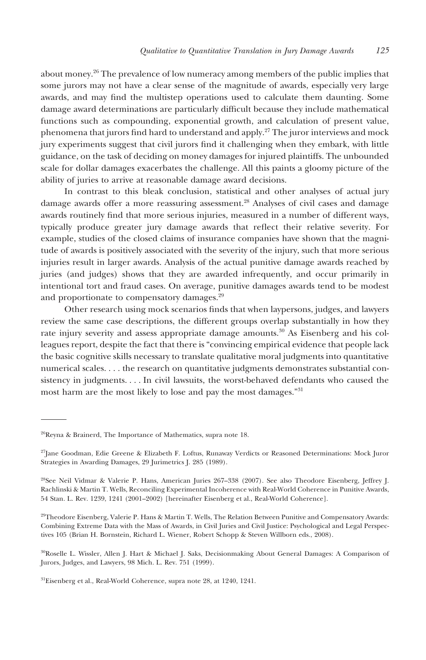about money.26 The prevalence of low numeracy among members of the public implies that some jurors may not have a clear sense of the magnitude of awards, especially very large awards, and may find the multistep operations used to calculate them daunting. Some damage award determinations are particularly difficult because they include mathematical functions such as compounding, exponential growth, and calculation of present value, phenomena that jurors find hard to understand and apply.<sup>27</sup> The juror interviews and mock jury experiments suggest that civil jurors find it challenging when they embark, with little guidance, on the task of deciding on money damages for injured plaintiffs. The unbounded scale for dollar damages exacerbates the challenge. All this paints a gloomy picture of the ability of juries to arrive at reasonable damage award decisions.

In contrast to this bleak conclusion, statistical and other analyses of actual jury damage awards offer a more reassuring assessment.28 Analyses of civil cases and damage awards routinely find that more serious injuries, measured in a number of different ways, typically produce greater jury damage awards that reflect their relative severity. For example, studies of the closed claims of insurance companies have shown that the magnitude of awards is positively associated with the severity of the injury, such that more serious injuries result in larger awards. Analysis of the actual punitive damage awards reached by juries (and judges) shows that they are awarded infrequently, and occur primarily in intentional tort and fraud cases. On average, punitive damages awards tend to be modest and proportionate to compensatory damages.<sup>29</sup>

Other research using mock scenarios finds that when laypersons, judges, and lawyers review the same case descriptions, the different groups overlap substantially in how they rate injury severity and assess appropriate damage amounts.30 As Eisenberg and his colleagues report, despite the fact that there is "convincing empirical evidence that people lack the basic cognitive skills necessary to translate qualitative moral judgments into quantitative numerical scales. . . . the research on quantitative judgments demonstrates substantial consistency in judgments. . . . In civil lawsuits, the worst-behaved defendants who caused the most harm are the most likely to lose and pay the most damages."31

<sup>26</sup>Reyna & Brainerd, The Importance of Mathematics, supra note 18.

<sup>27</sup>Jane Goodman, Edie Greene & Elizabeth F. Loftus, Runaway Verdicts or Reasoned Determinations: Mock Juror Strategies in Awarding Damages, 29 Jurimetrics J. 285 (1989).

<sup>28</sup>See Neil Vidmar & Valerie P. Hans, American Juries 267–338 (2007). See also Theodore Eisenberg, Jeffrey J. Rachlinski & Martin T. Wells, Reconciling Experimental Incoherence with Real-World Coherence in Punitive Awards, 54 Stan. L. Rev. 1239, 1241 (2001–2002) [hereinafter Eisenberg et al., Real-World Coherence].

<sup>29</sup>Theodore Eisenberg, Valerie P. Hans & Martin T. Wells, The Relation Between Punitive and Compensatory Awards: Combining Extreme Data with the Mass of Awards, in Civil Juries and Civil Justice: Psychological and Legal Perspectives 105 (Brian H. Bornstein, Richard L. Wiener, Robert Schopp & Steven Willborn eds., 2008).

<sup>30</sup>Roselle L. Wissler, Allen J. Hart & Michael J. Saks, Decisionmaking About General Damages: A Comparison of Jurors, Judges, and Lawyers, 98 Mich. L. Rev. 751 (1999).

<sup>31</sup>Eisenberg et al., Real-World Coherence, supra note 28, at 1240, 1241.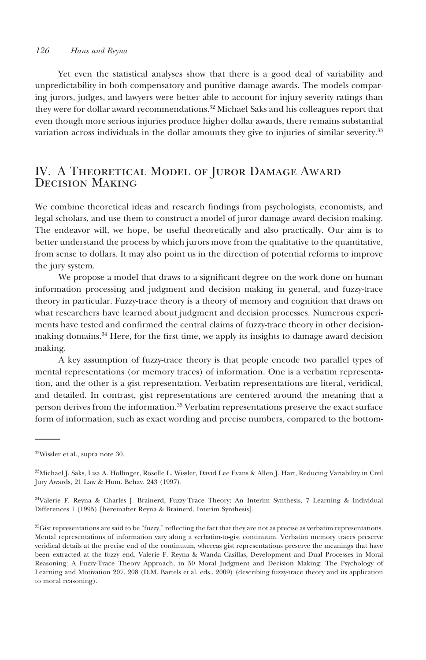Yet even the statistical analyses show that there is a good deal of variability and unpredictability in both compensatory and punitive damage awards. The models comparing jurors, judges, and lawyers were better able to account for injury severity ratings than they were for dollar award recommendations.32 Michael Saks and his colleagues report that even though more serious injuries produce higher dollar awards, there remains substantial variation across individuals in the dollar amounts they give to injuries of similar severity.<sup>33</sup>

## IV. A Theoretical Model of Juror Damage Award Decision Making

We combine theoretical ideas and research findings from psychologists, economists, and legal scholars, and use them to construct a model of juror damage award decision making. The endeavor will, we hope, be useful theoretically and also practically. Our aim is to better understand the process by which jurors move from the qualitative to the quantitative, from sense to dollars. It may also point us in the direction of potential reforms to improve the jury system.

We propose a model that draws to a significant degree on the work done on human information processing and judgment and decision making in general, and fuzzy-trace theory in particular. Fuzzy-trace theory is a theory of memory and cognition that draws on what researchers have learned about judgment and decision processes. Numerous experiments have tested and confirmed the central claims of fuzzy-trace theory in other decisionmaking domains.<sup>34</sup> Here, for the first time, we apply its insights to damage award decision making.

A key assumption of fuzzy-trace theory is that people encode two parallel types of mental representations (or memory traces) of information. One is a verbatim representation, and the other is a gist representation. Verbatim representations are literal, veridical, and detailed. In contrast, gist representations are centered around the meaning that a person derives from the information.35 Verbatim representations preserve the exact surface form of information, such as exact wording and precise numbers, compared to the bottom-

<sup>32</sup>Wissler et al., supra note 30.

<sup>33</sup>Michael J. Saks, Lisa A. Hollinger, Roselle L. Wissler, David Lee Evans & Allen J. Hart, Reducing Variability in Civil Jury Awards, 21 Law & Hum. Behav. 243 (1997).

<sup>34</sup>Valerie F. Reyna & Charles J. Brainerd, Fuzzy-Trace Theory: An Interim Synthesis, 7 Learning & Individual Differences 1 (1995) [hereinafter Reyna & Brainerd, Interim Synthesis].

<sup>&</sup>lt;sup>35</sup>Gist representations are said to be "fuzzy," reflecting the fact that they are not as precise as verbatim representations. Mental representations of information vary along a verbatim-to-gist continuum. Verbatim memory traces preserve veridical details at the precise end of the continuum, whereas gist representations preserve the meanings that have been extracted at the fuzzy end. Valerie F. Reyna & Wanda Casillas, Development and Dual Processes in Moral Reasoning: A Fuzzy-Trace Theory Approach, in 50 Moral Judgment and Decision Making: The Psychology of Learning and Motivation 207, 208 (D.M. Bartels et al. eds., 2009) (describing fuzzy-trace theory and its application to moral reasoning).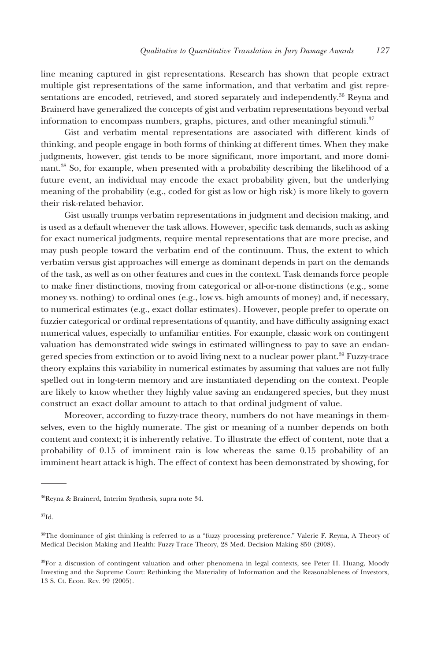line meaning captured in gist representations. Research has shown that people extract multiple gist representations of the same information, and that verbatim and gist representations are encoded, retrieved, and stored separately and independently.<sup>36</sup> Reyna and Brainerd have generalized the concepts of gist and verbatim representations beyond verbal information to encompass numbers, graphs, pictures, and other meaningful stimuli.<sup>37</sup>

Gist and verbatim mental representations are associated with different kinds of thinking, and people engage in both forms of thinking at different times. When they make judgments, however, gist tends to be more significant, more important, and more dominant.<sup>38</sup> So, for example, when presented with a probability describing the likelihood of a future event, an individual may encode the exact probability given, but the underlying meaning of the probability (e.g., coded for gist as low or high risk) is more likely to govern their risk-related behavior.

Gist usually trumps verbatim representations in judgment and decision making, and is used as a default whenever the task allows. However, specific task demands, such as asking for exact numerical judgments, require mental representations that are more precise, and may push people toward the verbatim end of the continuum. Thus, the extent to which verbatim versus gist approaches will emerge as dominant depends in part on the demands of the task, as well as on other features and cues in the context. Task demands force people to make finer distinctions, moving from categorical or all-or-none distinctions (e.g., some money vs. nothing) to ordinal ones (e.g., low vs. high amounts of money) and, if necessary, to numerical estimates (e.g., exact dollar estimates). However, people prefer to operate on fuzzier categorical or ordinal representations of quantity, and have difficulty assigning exact numerical values, especially to unfamiliar entities. For example, classic work on contingent valuation has demonstrated wide swings in estimated willingness to pay to save an endangered species from extinction or to avoid living next to a nuclear power plant.<sup>39</sup> Fuzzy-trace theory explains this variability in numerical estimates by assuming that values are not fully spelled out in long-term memory and are instantiated depending on the context. People are likely to know whether they highly value saving an endangered species, but they must construct an exact dollar amount to attach to that ordinal judgment of value.

Moreover, according to fuzzy-trace theory, numbers do not have meanings in themselves, even to the highly numerate. The gist or meaning of a number depends on both content and context; it is inherently relative. To illustrate the effect of content, note that a probability of 0.15 of imminent rain is low whereas the same 0.15 probability of an imminent heart attack is high. The effect of context has been demonstrated by showing, for

<sup>36</sup>Reyna & Brainerd, Interim Synthesis, supra note 34.

<sup>37</sup>Id.

<sup>38</sup>The dominance of gist thinking is referred to as a "fuzzy processing preference." Valerie F. Reyna, A Theory of Medical Decision Making and Health: Fuzzy-Trace Theory, 28 Med. Decision Making 850 (2008).

<sup>&</sup>lt;sup>39</sup>For a discussion of contingent valuation and other phenomena in legal contexts, see Peter H. Huang, Moody Investing and the Supreme Court: Rethinking the Materiality of Information and the Reasonableness of Investors, 13 S. Ct. Econ. Rev. 99 (2005).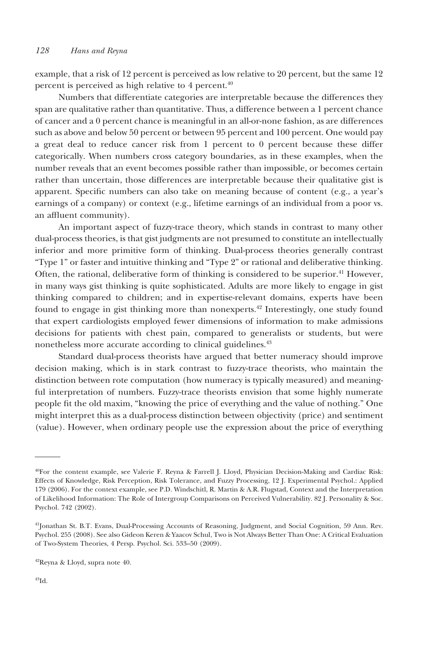example, that a risk of 12 percent is perceived as low relative to 20 percent, but the same 12 percent is perceived as high relative to  $4$  percent.<sup>40</sup>

Numbers that differentiate categories are interpretable because the differences they span are qualitative rather than quantitative. Thus, a difference between a 1 percent chance of cancer and a 0 percent chance is meaningful in an all-or-none fashion, as are differences such as above and below 50 percent or between 95 percent and 100 percent. One would pay a great deal to reduce cancer risk from 1 percent to 0 percent because these differ categorically. When numbers cross category boundaries, as in these examples, when the number reveals that an event becomes possible rather than impossible, or becomes certain rather than uncertain, those differences are interpretable because their qualitative gist is apparent. Specific numbers can also take on meaning because of content (e.g., a year's earnings of a company) or context (e.g., lifetime earnings of an individual from a poor vs. an affluent community).

An important aspect of fuzzy-trace theory, which stands in contrast to many other dual-process theories, is that gist judgments are not presumed to constitute an intellectually inferior and more primitive form of thinking. Dual-process theories generally contrast "Type 1" or faster and intuitive thinking and "Type 2" or rational and deliberative thinking. Often, the rational, deliberative form of thinking is considered to be superior.<sup>41</sup> However, in many ways gist thinking is quite sophisticated. Adults are more likely to engage in gist thinking compared to children; and in expertise-relevant domains, experts have been found to engage in gist thinking more than nonexperts.<sup>42</sup> Interestingly, one study found that expert cardiologists employed fewer dimensions of information to make admissions decisions for patients with chest pain, compared to generalists or students, but were nonetheless more accurate according to clinical guidelines.<sup>43</sup>

Standard dual-process theorists have argued that better numeracy should improve decision making, which is in stark contrast to fuzzy-trace theorists, who maintain the distinction between rote computation (how numeracy is typically measured) and meaningful interpretation of numbers. Fuzzy-trace theorists envision that some highly numerate people fit the old maxim, "knowing the price of everything and the value of nothing." One might interpret this as a dual-process distinction between objectivity (price) and sentiment (value). However, when ordinary people use the expression about the price of everything

<sup>40</sup>For the content example, see Valerie F. Reyna & Farrell J. Lloyd, Physician Decision-Making and Cardiac Risk: Effects of Knowledge, Risk Perception, Risk Tolerance, and Fuzzy Processing, 12 J. Experimental Psychol.: Applied 179 (2006). For the context example, see P.D. Windschitl, R. Martin & A.R. Flugstad, Context and the Interpretation of Likelihood Information: The Role of Intergroup Comparisons on Perceived Vulnerability. 82 J. Personality & Soc. Psychol. 742 (2002).

<sup>41</sup>Jonathan St. B.T. Evans, Dual-Processing Accounts of Reasoning, Judgment, and Social Cognition, 59 Ann. Rev. Psychol. 255 (2008). See also Gideon Keren & Yaacov Schul, Two is Not Always Better Than One: A Critical Evaluation of Two-System Theories, 4 Persp. Psychol. Sci. 533–50 (2009).

<sup>42</sup>Reyna & Lloyd, supra note 40.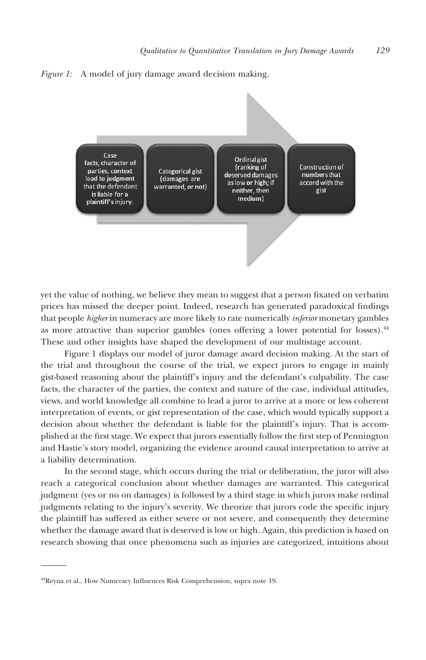



yet the value of nothing, we believe they mean to suggest that a person fixated on verbatim prices has missed the deeper point. Indeed, research has generated paradoxical findings that people *higher* in numeracy are more likely to rate numerically *inferior* monetary gambles as more attractive than superior gambles (ones offering a lower potential for losses).44 These and other insights have shaped the development of our multistage account.

Figure 1 displays our model of juror damage award decision making. At the start of the trial and throughout the course of the trial, we expect jurors to engage in mainly gist-based reasoning about the plaintiff's injury and the defendant's culpability. The case facts, the character of the parties, the context and nature of the case, individual attitudes, views, and world knowledge all combine to lead a juror to arrive at a more or less coherent interpretation of events, or gist representation of the case, which would typically support a decision about whether the defendant is liable for the plaintiff's injury. That is accomplished at the first stage. We expect that jurors essentially follow the first step of Pennington and Hastie's story model, organizing the evidence around causal interpretation to arrive at a liability determination.

In the second stage, which occurs during the trial or deliberation, the juror will also reach a categorical conclusion about whether damages are warranted. This categorical judgment (yes or no on damages) is followed by a third stage in which jurors make ordinal judgments relating to the injury's severity. We theorize that jurors code the specific injury the plaintiff has suffered as either severe or not severe, and consequently they determine whether the damage award that is deserved is low or high. Again, this prediction is based on research showing that once phenomena such as injuries are categorized, intuitions about

<sup>44</sup>Reyna et al., How Numeracy Influences Risk Comprehension, supra note 19.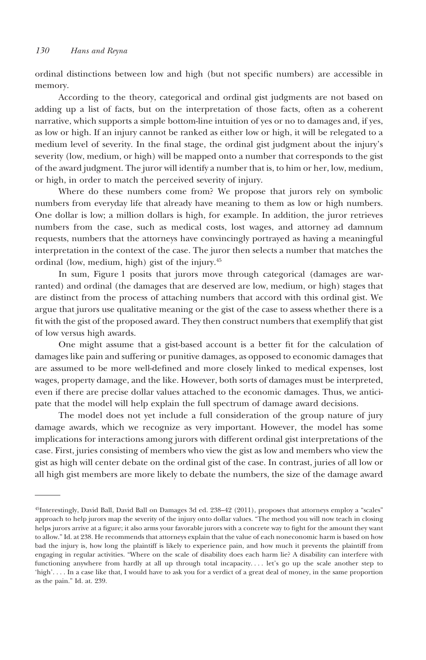ordinal distinctions between low and high (but not specific numbers) are accessible in memory.

According to the theory, categorical and ordinal gist judgments are not based on adding up a list of facts, but on the interpretation of those facts, often as a coherent narrative, which supports a simple bottom-line intuition of yes or no to damages and, if yes, as low or high. If an injury cannot be ranked as either low or high, it will be relegated to a medium level of severity. In the final stage, the ordinal gist judgment about the injury's severity (low, medium, or high) will be mapped onto a number that corresponds to the gist of the award judgment. The juror will identify a number that is, to him or her, low, medium, or high, in order to match the perceived severity of injury.

Where do these numbers come from? We propose that jurors rely on symbolic numbers from everyday life that already have meaning to them as low or high numbers. One dollar is low; a million dollars is high, for example. In addition, the juror retrieves numbers from the case, such as medical costs, lost wages, and attorney ad damnum requests, numbers that the attorneys have convincingly portrayed as having a meaningful interpretation in the context of the case. The juror then selects a number that matches the ordinal (low, medium, high) gist of the injury.45

In sum, Figure 1 posits that jurors move through categorical (damages are warranted) and ordinal (the damages that are deserved are low, medium, or high) stages that are distinct from the process of attaching numbers that accord with this ordinal gist. We argue that jurors use qualitative meaning or the gist of the case to assess whether there is a fit with the gist of the proposed award. They then construct numbers that exemplify that gist of low versus high awards.

One might assume that a gist-based account is a better fit for the calculation of damages like pain and suffering or punitive damages, as opposed to economic damages that are assumed to be more well-defined and more closely linked to medical expenses, lost wages, property damage, and the like. However, both sorts of damages must be interpreted, even if there are precise dollar values attached to the economic damages. Thus, we anticipate that the model will help explain the full spectrum of damage award decisions.

The model does not yet include a full consideration of the group nature of jury damage awards, which we recognize as very important. However, the model has some implications for interactions among jurors with different ordinal gist interpretations of the case. First, juries consisting of members who view the gist as low and members who view the gist as high will center debate on the ordinal gist of the case. In contrast, juries of all low or all high gist members are more likely to debate the numbers, the size of the damage award

<sup>45</sup>Interestingly, David Ball, David Ball on Damages 3d ed. 238–42 (2011), proposes that attorneys employ a "scales" approach to help jurors map the severity of the injury onto dollar values. "The method you will now teach in closing helps jurors arrive at a figure; it also arms your favorable jurors with a concrete way to fight for the amount they want to allow." Id. at 238. He recommends that attorneys explain that the value of each noneconomic harm is based on how bad the injury is, how long the plaintiff is likely to experience pain, and how much it prevents the plaintiff from engaging in regular activities. "Where on the scale of disability does each harm lie? A disability can interfere with functioning anywhere from hardly at all up through total incapacity. . . . let's go up the scale another step to 'high'. . . . In a case like that, I would have to ask you for a verdict of a great deal of money, in the same proportion as the pain." Id. at. 239.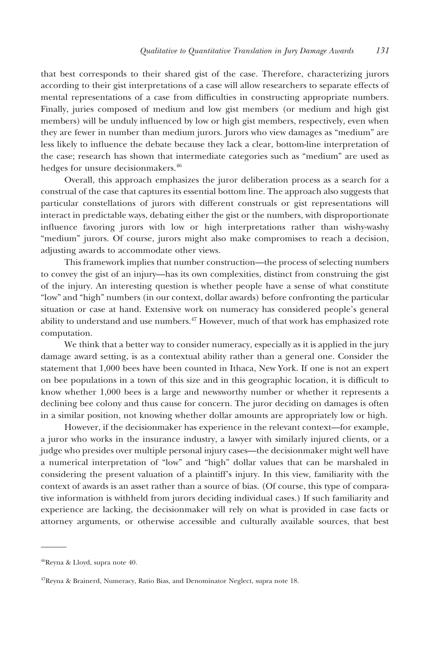that best corresponds to their shared gist of the case. Therefore, characterizing jurors according to their gist interpretations of a case will allow researchers to separate effects of mental representations of a case from difficulties in constructing appropriate numbers. Finally, juries composed of medium and low gist members (or medium and high gist members) will be unduly influenced by low or high gist members, respectively, even when they are fewer in number than medium jurors. Jurors who view damages as "medium" are less likely to influence the debate because they lack a clear, bottom-line interpretation of the case; research has shown that intermediate categories such as "medium" are used as hedges for unsure decision makers.<sup>46</sup>

Overall, this approach emphasizes the juror deliberation process as a search for a construal of the case that captures its essential bottom line. The approach also suggests that particular constellations of jurors with different construals or gist representations will interact in predictable ways, debating either the gist or the numbers, with disproportionate influence favoring jurors with low or high interpretations rather than wishy-washy "medium" jurors. Of course, jurors might also make compromises to reach a decision, adjusting awards to accommodate other views.

This framework implies that number construction—the process of selecting numbers to convey the gist of an injury—has its own complexities, distinct from construing the gist of the injury. An interesting question is whether people have a sense of what constitute "low" and "high" numbers (in our context, dollar awards) before confronting the particular situation or case at hand. Extensive work on numeracy has considered people's general ability to understand and use numbers.<sup>47</sup> However, much of that work has emphasized rote computation.

We think that a better way to consider numeracy, especially as it is applied in the jury damage award setting, is as a contextual ability rather than a general one. Consider the statement that 1,000 bees have been counted in Ithaca, New York. If one is not an expert on bee populations in a town of this size and in this geographic location, it is difficult to know whether 1,000 bees is a large and newsworthy number or whether it represents a declining bee colony and thus cause for concern. The juror deciding on damages is often in a similar position, not knowing whether dollar amounts are appropriately low or high.

However, if the decisionmaker has experience in the relevant context—for example, a juror who works in the insurance industry, a lawyer with similarly injured clients, or a judge who presides over multiple personal injury cases—the decisionmaker might well have a numerical interpretation of "low" and "high" dollar values that can be marshaled in considering the present valuation of a plaintiff's injury. In this view, familiarity with the context of awards is an asset rather than a source of bias. (Of course, this type of comparative information is withheld from jurors deciding individual cases.) If such familiarity and experience are lacking, the decisionmaker will rely on what is provided in case facts or attorney arguments, or otherwise accessible and culturally available sources, that best

<sup>46</sup>Reyna & Lloyd, supra note 40.

<sup>47</sup>Reyna & Brainerd, Numeracy, Ratio Bias, and Denominator Neglect, supra note 18.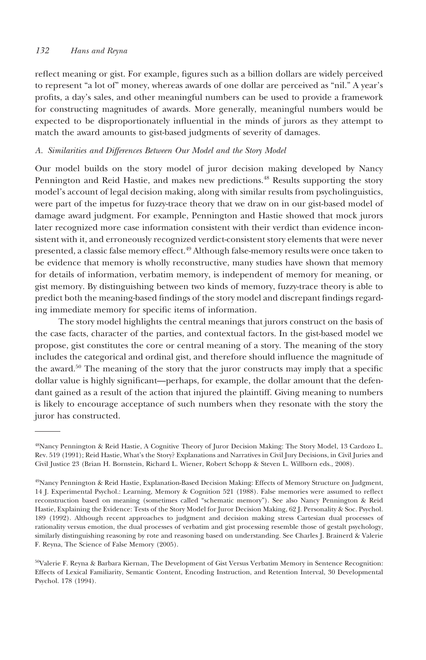reflect meaning or gist. For example, figures such as a billion dollars are widely perceived to represent "a lot of" money, whereas awards of one dollar are perceived as "nil." A year's profits, a day's sales, and other meaningful numbers can be used to provide a framework for constructing magnitudes of awards. More generally, meaningful numbers would be expected to be disproportionately influential in the minds of jurors as they attempt to match the award amounts to gist-based judgments of severity of damages.

#### *A. Similarities and Differences Between Our Model and the Story Model*

Our model builds on the story model of juror decision making developed by Nancy Pennington and Reid Hastie, and makes new predictions.<sup>48</sup> Results supporting the story model's account of legal decision making, along with similar results from psycholinguistics, were part of the impetus for fuzzy-trace theory that we draw on in our gist-based model of damage award judgment. For example, Pennington and Hastie showed that mock jurors later recognized more case information consistent with their verdict than evidence inconsistent with it, and erroneously recognized verdict-consistent story elements that were never presented, a classic false memory effect.49 Although false-memory results were once taken to be evidence that memory is wholly reconstructive, many studies have shown that memory for details of information, verbatim memory, is independent of memory for meaning, or gist memory. By distinguishing between two kinds of memory, fuzzy-trace theory is able to predict both the meaning-based findings of the story model and discrepant findings regarding immediate memory for specific items of information.

The story model highlights the central meanings that jurors construct on the basis of the case facts, character of the parties, and contextual factors. In the gist-based model we propose, gist constitutes the core or central meaning of a story. The meaning of the story includes the categorical and ordinal gist, and therefore should influence the magnitude of the award.<sup>50</sup> The meaning of the story that the juror constructs may imply that a specific dollar value is highly significant—perhaps, for example, the dollar amount that the defendant gained as a result of the action that injured the plaintiff. Giving meaning to numbers is likely to encourage acceptance of such numbers when they resonate with the story the juror has constructed.

<sup>48</sup>Nancy Pennington & Reid Hastie, A Cognitive Theory of Juror Decision Making: The Story Model, 13 Cardozo L. Rev. 519 (1991); Reid Hastie, What's the Story? Explanations and Narratives in Civil Jury Decisions, in Civil Juries and Civil Justice 23 (Brian H. Bornstein, Richard L. Wiener, Robert Schopp & Steven L. Willborn eds., 2008).

<sup>49</sup>Nancy Pennington & Reid Hastie, Explanation-Based Decision Making: Effects of Memory Structure on Judgment, 14 J. Experimental Psychol.: Learning, Memory & Cognition 521 (1988). False memories were assumed to reflect reconstruction based on meaning (sometimes called "schematic memory"). See also Nancy Pennington & Reid Hastie, Explaining the Evidence: Tests of the Story Model for Juror Decision Making, 62 J. Personality & Soc. Psychol. 189 (1992). Although recent approaches to judgment and decision making stress Cartesian dual processes of rationality versus emotion, the dual processes of verbatim and gist processing resemble those of gestalt psychology, similarly distinguishing reasoning by rote and reasoning based on understanding. See Charles J. Brainerd & Valerie F. Reyna, The Science of False Memory (2005).

<sup>50</sup>Valerie F. Reyna & Barbara Kiernan, The Development of Gist Versus Verbatim Memory in Sentence Recognition: Effects of Lexical Familiarity, Semantic Content, Encoding Instruction, and Retention Interval, 30 Developmental Psychol. 178 (1994).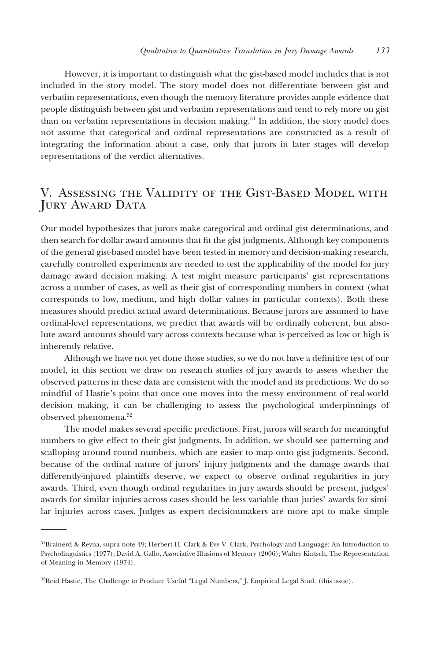However, it is important to distinguish what the gist-based model includes that is not included in the story model. The story model does not differentiate between gist and verbatim representations, even though the memory literature provides ample evidence that people distinguish between gist and verbatim representations and tend to rely more on gist than on verbatim representations in decision making.<sup>51</sup> In addition, the story model does not assume that categorical and ordinal representations are constructed as a result of integrating the information about a case, only that jurors in later stages will develop representations of the verdict alternatives.

## V. Assessing the Validity of the Gist-Based Model with **JURY AWARD DATA**

Our model hypothesizes that jurors make categorical and ordinal gist determinations, and then search for dollar award amounts that fit the gist judgments. Although key components of the general gist-based model have been tested in memory and decision-making research, carefully controlled experiments are needed to test the applicability of the model for jury damage award decision making. A test might measure participants' gist representations across a number of cases, as well as their gist of corresponding numbers in context (what corresponds to low, medium, and high dollar values in particular contexts). Both these measures should predict actual award determinations. Because jurors are assumed to have ordinal-level representations, we predict that awards will be ordinally coherent, but absolute award amounts should vary across contexts because what is perceived as low or high is inherently relative.

Although we have not yet done those studies, so we do not have a definitive test of our model, in this section we draw on research studies of jury awards to assess whether the observed patterns in these data are consistent with the model and its predictions. We do so mindful of Hastie's point that once one moves into the messy environment of real-world decision making, it can be challenging to assess the psychological underpinnings of observed phenomena.52

The model makes several specific predictions. First, jurors will search for meaningful numbers to give effect to their gist judgments. In addition, we should see patterning and scalloping around round numbers, which are easier to map onto gist judgments. Second, because of the ordinal nature of jurors' injury judgments and the damage awards that differently-injured plaintiffs deserve, we expect to observe ordinal regularities in jury awards. Third, even though ordinal regularities in jury awards should be present, judges' awards for similar injuries across cases should be less variable than juries' awards for similar injuries across cases. Judges as expert decisionmakers are more apt to make simple

<sup>51</sup>Brainerd & Reyna, supra note 49; Herbert H. Clark & Eve V. Clark, Psychology and Language: An Introduction to Psycholinguistics (1977); David A. Gallo, Associative Illusions of Memory (2006); Walter Kintsch, The Representation of Meaning in Memory (1974).

<sup>52</sup>Reid Hastie, The Challenge to Produce Useful "Legal Numbers," J. Empirical Legal Stud. (this issue).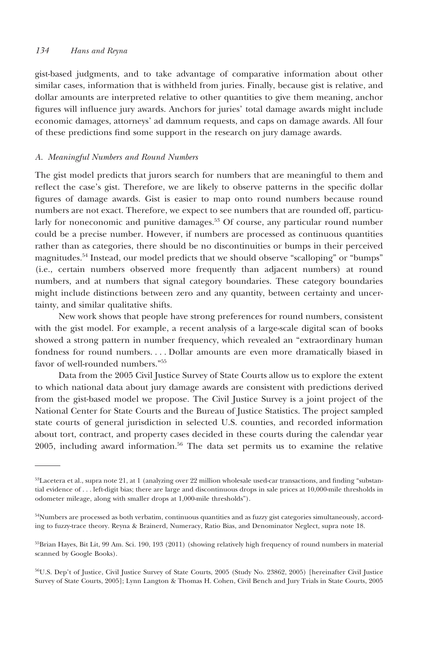gist-based judgments, and to take advantage of comparative information about other similar cases, information that is withheld from juries. Finally, because gist is relative, and dollar amounts are interpreted relative to other quantities to give them meaning, anchor figures will influence jury awards. Anchors for juries' total damage awards might include economic damages, attorneys' ad damnum requests, and caps on damage awards. All four of these predictions find some support in the research on jury damage awards.

#### *A. Meaningful Numbers and Round Numbers*

The gist model predicts that jurors search for numbers that are meaningful to them and reflect the case's gist. Therefore, we are likely to observe patterns in the specific dollar figures of damage awards. Gist is easier to map onto round numbers because round numbers are not exact. Therefore, we expect to see numbers that are rounded off, particularly for noneconomic and punitive damages.53 Of course, any particular round number could be a precise number. However, if numbers are processed as continuous quantities rather than as categories, there should be no discontinuities or bumps in their perceived magnitudes.54 Instead, our model predicts that we should observe "scalloping" or "bumps" (i.e., certain numbers observed more frequently than adjacent numbers) at round numbers, and at numbers that signal category boundaries. These category boundaries might include distinctions between zero and any quantity, between certainty and uncertainty, and similar qualitative shifts.

New work shows that people have strong preferences for round numbers, consistent with the gist model. For example, a recent analysis of a large-scale digital scan of books showed a strong pattern in number frequency, which revealed an "extraordinary human fondness for round numbers....Dollar amounts are even more dramatically biased in favor of well-rounded numbers."55

Data from the 2005 Civil Justice Survey of State Courts allow us to explore the extent to which national data about jury damage awards are consistent with predictions derived from the gist-based model we propose. The Civil Justice Survey is a joint project of the National Center for State Courts and the Bureau of Justice Statistics. The project sampled state courts of general jurisdiction in selected U.S. counties, and recorded information about tort, contract, and property cases decided in these courts during the calendar year 2005, including award information.56 The data set permits us to examine the relative

<sup>53</sup>Lacetera et al., supra note 21, at 1 (analyzing over 22 million wholesale used-car transactions, and finding "substantial evidence of . . . left-digit bias; there are large and discontinuous drops in sale prices at 10,000-mile thresholds in odometer mileage, along with smaller drops at 1,000-mile thresholds").

<sup>&</sup>lt;sup>54</sup>Numbers are processed as both verbatim, continuous quantities and as fuzzy gist categories simultaneously, according to fuzzy-trace theory. Reyna & Brainerd, Numeracy, Ratio Bias, and Denominator Neglect, supra note 18.

<sup>55</sup>Brian Hayes, Bit Lit, 99 Am. Sci. 190, 193 (2011) (showing relatively high frequency of round numbers in material scanned by Google Books).

<sup>56</sup>U.S. Dep't of Justice, Civil Justice Survey of State Courts, 2005 (Study No. 23862, 2005) [hereinafter Civil Justice Survey of State Courts, 2005]; Lynn Langton & Thomas H. Cohen, Civil Bench and Jury Trials in State Courts, 2005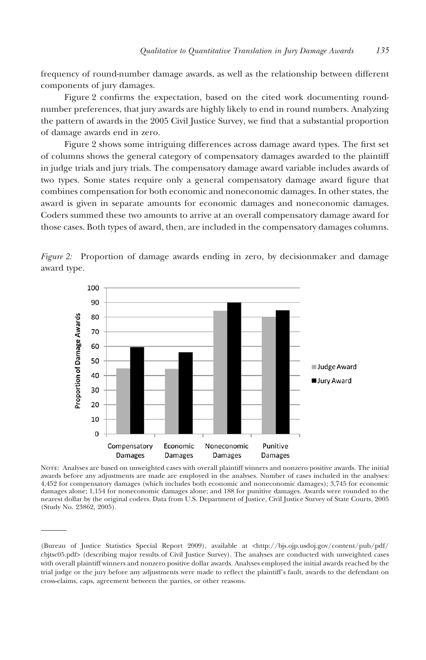frequency of round-number damage awards, as well as the relationship between different components of jury damages.

Figure 2 confirms the expectation, based on the cited work documenting roundnumber preferences, that jury awards are highly likely to end in round numbers. Analyzing the pattern of awards in the 2005 Civil Justice Survey, we find that a substantial proportion of damage awards end in zero.

Figure 2 shows some intriguing differences across damage award types. The first set of columns shows the general category of compensatory damages awarded to the plaintiff in judge trials and jury trials. The compensatory damage award variable includes awards of two types. Some states require only a general compensatory damage award figure that combines compensation for both economic and noneconomic damages. In other states, the award is given in separate amounts for economic damages and noneconomic damages. Coders summed these two amounts to arrive at an overall compensatory damage award for those cases. Both types of award, then, are included in the compensatory damages columns.



*Figure 2:* Proportion of damage awards ending in zero, by decisionmaker and damage award type.

Note: Analyses are based on unweighted cases with overall plaintiff winners and nonzero positive awards. The initial awards before any adjustments are made are employed in the analyses. Number of cases included in the analyses: 4,452 for compensatory damages (which includes both economic and noneconomic damages); 3,745 for economic damages alone; 1,154 for noneconomic damages alone; and 188 for punitive damages. Awards were rounded to the nearest dollar by the original coders. Data from U.S. Department of Justice, Civil Justice Survey of State Courts, 2005 (Study No. 23862, 2005).

<sup>(</sup>Bureau of Justice Statistics Special Report 2009), available at <http://bjs.ojp.usdoj.gov/content/pub/pdf/ cbjtsc05.pdf> (describing major results of Civil Justice Survey). The analyses are conducted with unweighted cases with overall plaintiff winners and nonzero positive dollar awards. Analyses employed the initial awards reached by the trial judge or the jury before any adjustments were made to reflect the plaintiff's fault, awards to the defendant on cross-claims, caps, agreement between the parties, or other reasons.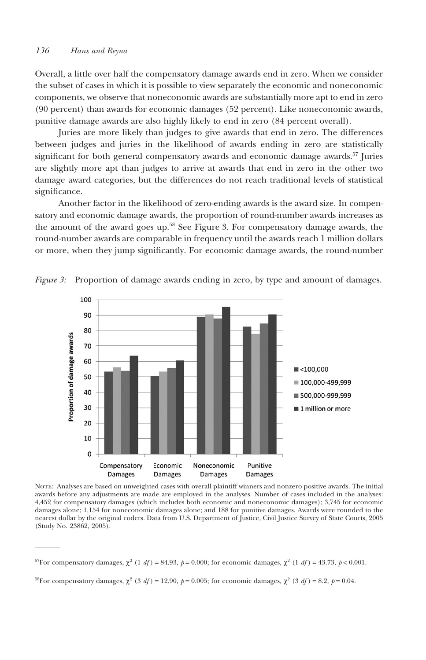Overall, a little over half the compensatory damage awards end in zero. When we consider the subset of cases in which it is possible to view separately the economic and noneconomic components, we observe that noneconomic awards are substantially more apt to end in zero (90 percent) than awards for economic damages (52 percent). Like noneconomic awards, punitive damage awards are also highly likely to end in zero (84 percent overall).

Juries are more likely than judges to give awards that end in zero. The differences between judges and juries in the likelihood of awards ending in zero are statistically significant for both general compensatory awards and economic damage awards.<sup>57</sup> Juries are slightly more apt than judges to arrive at awards that end in zero in the other two damage award categories, but the differences do not reach traditional levels of statistical significance.

Another factor in the likelihood of zero-ending awards is the award size. In compensatory and economic damage awards, the proportion of round-number awards increases as the amount of the award goes up.58 See Figure 3. For compensatory damage awards, the round-number awards are comparable in frequency until the awards reach 1 million dollars or more, when they jump significantly. For economic damage awards, the round-number



*Figure 3:* Proportion of damage awards ending in zero, by type and amount of damages.

Note: Analyses are based on unweighted cases with overall plaintiff winners and nonzero positive awards. The initial awards before any adjustments are made are employed in the analyses. Number of cases included in the analyses: 4,452 for compensatory damages (which includes both economic and noneconomic damages); 3,745 for economic damages alone; 1,154 for noneconomic damages alone; and 188 for punitive damages. Awards were rounded to the nearest dollar by the original coders. Data from U.S. Department of Justice, Civil Justice Survey of State Courts, 2005 (Study No. 23862, 2005).

<sup>58</sup>For compensatory damages,  $\chi^2$  (3 *df*) = 12.90,  $p = 0.005$ ; for economic damages,  $\chi^2$  (3 *df*) = 8.2,  $p = 0.04$ .

<sup>&</sup>lt;sup>57</sup>For compensatory damages,  $\chi^2$  (1 *df*) = 84.93,  $p = 0.000$ ; for economic damages,  $\chi^2$  (1 *df*) = 43.73,  $p < 0.001$ .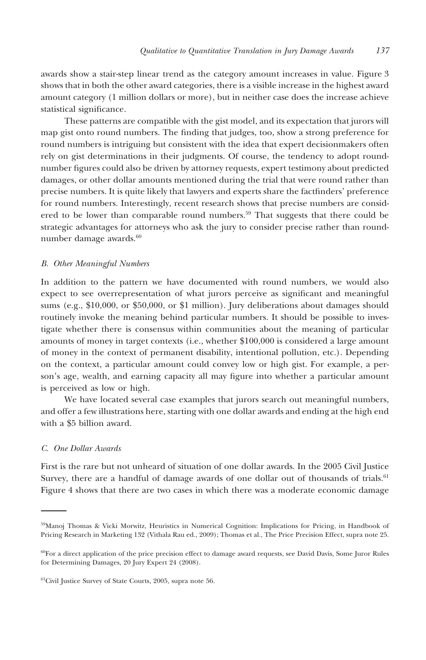awards show a stair-step linear trend as the category amount increases in value. Figure 3 shows that in both the other award categories, there is a visible increase in the highest award amount category (1 million dollars or more), but in neither case does the increase achieve statistical significance.

These patterns are compatible with the gist model, and its expectation that jurors will map gist onto round numbers. The finding that judges, too, show a strong preference for round numbers is intriguing but consistent with the idea that expert decisionmakers often rely on gist determinations in their judgments. Of course, the tendency to adopt roundnumber figures could also be driven by attorney requests, expert testimony about predicted damages, or other dollar amounts mentioned during the trial that were round rather than precise numbers. It is quite likely that lawyers and experts share the factfinders' preference for round numbers. Interestingly, recent research shows that precise numbers are considered to be lower than comparable round numbers.59 That suggests that there could be strategic advantages for attorneys who ask the jury to consider precise rather than roundnumber damage awards.<sup>60</sup>

#### *B. Other Meaningful Numbers*

In addition to the pattern we have documented with round numbers, we would also expect to see overrepresentation of what jurors perceive as significant and meaningful sums (e.g., \$10,000, or \$50,000, or \$1 million). Jury deliberations about damages should routinely invoke the meaning behind particular numbers. It should be possible to investigate whether there is consensus within communities about the meaning of particular amounts of money in target contexts (i.e., whether \$100,000 is considered a large amount of money in the context of permanent disability, intentional pollution, etc.). Depending on the context, a particular amount could convey low or high gist. For example, a person's age, wealth, and earning capacity all may figure into whether a particular amount is perceived as low or high.

We have located several case examples that jurors search out meaningful numbers, and offer a few illustrations here, starting with one dollar awards and ending at the high end with a \$5 billion award.

#### *C. One Dollar Awards*

First is the rare but not unheard of situation of one dollar awards. In the 2005 Civil Justice Survey, there are a handful of damage awards of one dollar out of thousands of trials.<sup>61</sup> Figure 4 shows that there are two cases in which there was a moderate economic damage

<sup>59</sup>Manoj Thomas & Vicki Morwitz, Heuristics in Numerical Cognition: Implications for Pricing, in Handbook of Pricing Research in Marketing 132 (Vithala Rau ed., 2009); Thomas et al., The Price Precision Effect, supra note 25.

<sup>60</sup>For a direct application of the price precision effect to damage award requests, see David Davis, Some Juror Rules for Determining Damages, 20 Jury Expert 24 (2008).

<sup>61</sup>Civil Justice Survey of State Courts, 2005, supra note 56.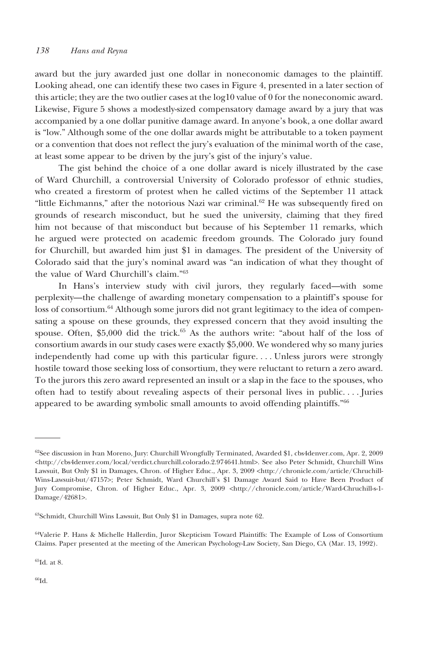award but the jury awarded just one dollar in noneconomic damages to the plaintiff. Looking ahead, one can identify these two cases in Figure 4, presented in a later section of this article; they are the two outlier cases at the log10 value of 0 for the noneconomic award. Likewise, Figure 5 shows a modestly-sized compensatory damage award by a jury that was accompanied by a one dollar punitive damage award. In anyone's book, a one dollar award is "low." Although some of the one dollar awards might be attributable to a token payment or a convention that does not reflect the jury's evaluation of the minimal worth of the case, at least some appear to be driven by the jury's gist of the injury's value.

The gist behind the choice of a one dollar award is nicely illustrated by the case of Ward Churchill, a controversial University of Colorado professor of ethnic studies, who created a firestorm of protest when he called victims of the September 11 attack "little Eichmanns," after the notorious Nazi war criminal.<sup>62</sup> He was subsequently fired on grounds of research misconduct, but he sued the university, claiming that they fired him not because of that misconduct but because of his September 11 remarks, which he argued were protected on academic freedom grounds. The Colorado jury found for Churchill, but awarded him just \$1 in damages. The president of the University of Colorado said that the jury's nominal award was "an indication of what they thought of the value of Ward Churchill's claim."63

In Hans's interview study with civil jurors, they regularly faced—with some perplexity—the challenge of awarding monetary compensation to a plaintiff's spouse for loss of consortium.<sup>64</sup> Although some jurors did not grant legitimacy to the idea of compensating a spouse on these grounds, they expressed concern that they avoid insulting the spouse. Often,  $$5,000$  did the trick.<sup> $65$ </sup> As the authors write: "about half of the loss of consortium awards in our study cases were exactly \$5,000. We wondered why so many juries independently had come up with this particular figure....Unless jurors were strongly hostile toward those seeking loss of consortium, they were reluctant to return a zero award. To the jurors this zero award represented an insult or a slap in the face to the spouses, who often had to testify about revealing aspects of their personal lives in public.... Juries appeared to be awarding symbolic small amounts to avoid offending plaintiffs."<sup>66</sup>

64Valerie P. Hans & Michelle Hallerdin, Juror Skepticism Toward Plaintiffs: The Example of Loss of Consortium Claims. Paper presented at the meeting of the American Psychology-Law Society, San Diego, CA (Mar. 13, 1992).

 $\rm ^{65}Id.$  at 8.

 $66$ Id.

 $62$ See discussion in Ivan Moreno, Jury: Churchill Wrongfully Terminated, Awarded \$1, cbs4denver.com, Apr. 2, 2009 <http://cbs4denver.com/local/verdict.churchill.colorado.2.974641.html>. See also Peter Schmidt, Churchill Wins Lawsuit, But Only \$1 in Damages, Chron. of Higher Educ., Apr. 3, 2009 <http://chronicle.com/article/Chruchill-Wins-Lawsuit-but/47157>; Peter Schmidt, Ward Churchill's \$1 Damage Award Said to Have Been Product of Jury Compromise, Chron. of Higher Educ., Apr. 3, 2009 <http://chronicle.com/article/Ward-Chruchill-s-1-Damage/42681>.

<sup>63</sup>Schmidt, Churchill Wins Lawsuit, But Only \$1 in Damages, supra note 62.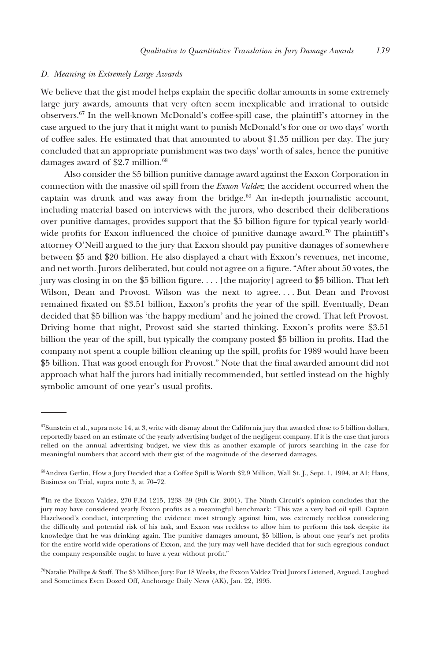#### *D. Meaning in Extremely Large Awards*

We believe that the gist model helps explain the specific dollar amounts in some extremely large jury awards, amounts that very often seem inexplicable and irrational to outside observers.67 In the well-known McDonald's coffee-spill case, the plaintiff's attorney in the case argued to the jury that it might want to punish McDonald's for one or two days' worth of coffee sales. He estimated that that amounted to about \$1.35 million per day. The jury concluded that an appropriate punishment was two days' worth of sales, hence the punitive damages award of \$2.7 million.<sup>68</sup>

Also consider the \$5 billion punitive damage award against the Exxon Corporation in connection with the massive oil spill from the *Exxon Valdez*; the accident occurred when the captain was drunk and was away from the bridge. $69$  An in-depth journalistic account, including material based on interviews with the jurors, who described their deliberations over punitive damages, provides support that the \$5 billion figure for typical yearly worldwide profits for Exxon influenced the choice of punitive damage award.<sup>70</sup> The plaintiff's attorney O'Neill argued to the jury that Exxon should pay punitive damages of somewhere between \$5 and \$20 billion. He also displayed a chart with Exxon's revenues, net income, and net worth. Jurors deliberated, but could not agree on a figure. "After about 50 votes, the jury was closing in on the \$5 billion figure.... [the majority] agreed to \$5 billion. That left Wilson, Dean and Provost. Wilson was the next to agree. . . . But Dean and Provost remained fixated on \$3.51 billion, Exxon's profits the year of the spill. Eventually, Dean decided that \$5 billion was 'the happy medium' and he joined the crowd. That left Provost. Driving home that night, Provost said she started thinking. Exxon's profits were \$3.51 billion the year of the spill, but typically the company posted \$5 billion in profits. Had the company not spent a couple billion cleaning up the spill, profits for 1989 would have been \$5 billion. That was good enough for Provost." Note that the final awarded amount did not approach what half the jurors had initially recommended, but settled instead on the highly symbolic amount of one year's usual profits.

 $67$ Sunstein et al., supra note 14, at 3, write with dismay about the California jury that awarded close to 5 billion dollars, reportedly based on an estimate of the yearly advertising budget of the negligent company. If it is the case that jurors relied on the annual advertising budget, we view this as another example of jurors searching in the case for meaningful numbers that accord with their gist of the magnitude of the deserved damages.

<sup>68</sup>Andrea Gerlin, How a Jury Decided that a Coffee Spill is Worth \$2.9 Million, Wall St. J., Sept. 1, 1994, at A1; Hans, Business on Trial, supra note 3, at 70–72.

 $^{69}$ In re the Exxon Valdez, 270 F.3d 1215, 1238–39 (9th Cir. 2001). The Ninth Circuit's opinion concludes that the jury may have considered yearly Exxon profits as a meaningful benchmark: "This was a very bad oil spill. Captain Hazelwood's conduct, interpreting the evidence most strongly against him, was extremely reckless considering the difficulty and potential risk of his task, and Exxon was reckless to allow him to perform this task despite its knowledge that he was drinking again. The punitive damages amount, \$5 billion, is about one year's net profits for the entire world-wide operations of Exxon, and the jury may well have decided that for such egregious conduct the company responsible ought to have a year without profit."

<sup>70</sup>Natalie Phillips & Staff, The \$5 Million Jury: For 18 Weeks, the Exxon Valdez Trial Jurors Listened, Argued, Laughed and Sometimes Even Dozed Off, Anchorage Daily News (AK), Jan. 22, 1995.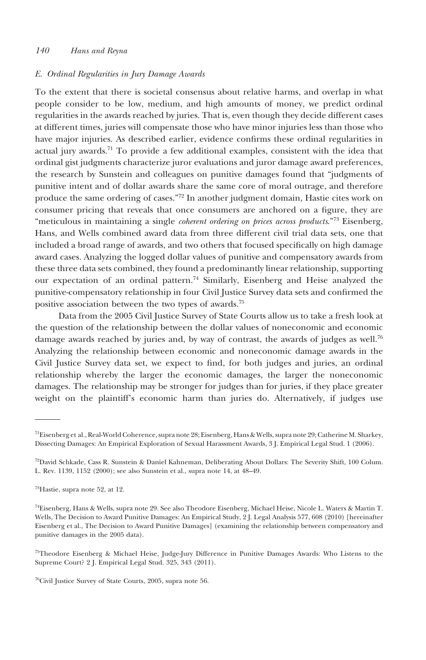#### *E. Ordinal Regularities in Jury Damage Awards*

To the extent that there is societal consensus about relative harms, and overlap in what people consider to be low, medium, and high amounts of money, we predict ordinal regularities in the awards reached by juries. That is, even though they decide different cases at different times, juries will compensate those who have minor injuries less than those who have major injuries. As described earlier, evidence confirms these ordinal regularities in actual jury awards.71 To provide a few additional examples, consistent with the idea that ordinal gist judgments characterize juror evaluations and juror damage award preferences, the research by Sunstein and colleagues on punitive damages found that "judgments of punitive intent and of dollar awards share the same core of moral outrage, and therefore produce the same ordering of cases."72 In another judgment domain, Hastie cites work on consumer pricing that reveals that once consumers are anchored on a figure, they are "meticulous in maintaining a single *coherent ordering on prices across products*."73 Eisenberg, Hans, and Wells combined award data from three different civil trial data sets, one that included a broad range of awards, and two others that focused specifically on high damage award cases. Analyzing the logged dollar values of punitive and compensatory awards from these three data sets combined, they found a predominantly linear relationship, supporting our expectation of an ordinal pattern.74 Similarly, Eisenberg and Heise analyzed the punitive-compensatory relationship in four Civil Justice Survey data sets and confirmed the positive association between the two types of awards.75

Data from the 2005 Civil Justice Survey of State Courts allow us to take a fresh look at the question of the relationship between the dollar values of noneconomic and economic damage awards reached by juries and, by way of contrast, the awards of judges as well.<sup>76</sup> Analyzing the relationship between economic and noneconomic damage awards in the Civil Justice Survey data set, we expect to find, for both judges and juries, an ordinal relationship whereby the larger the economic damages, the larger the noneconomic damages. The relationship may be stronger for judges than for juries, if they place greater weight on the plaintiff's economic harm than juries do. Alternatively, if judges use

73Hastie, supra note 52, at 12.

<sup>71</sup>Eisenberg et al., Real-World Coherence, supra note 28; Eisenberg, Hans & Wells, supra note 29; Catherine M. Sharkey, Dissecting Damages: An Empirical Exploration of Sexual Harassment Awards, 3 J. Empirical Legal Stud. 1 (2006).

<sup>72</sup>David Schkade, Cass R. Sunstein & Daniel Kahneman, Deliberating About Dollars: The Severity Shift, 100 Colum. L. Rev. 1139, 1152 (2000); see also Sunstein et al., supra note 14, at 48–49.

<sup>74</sup>Eisenberg, Hans & Wells, supra note 29. See also Theodore Eisenberg, Michael Heise, Nicole L. Waters & Martin T. Wells, The Decision to Award Punitive Damages: An Empirical Study, 2 J. Legal Analysis 577, 608 (2010) [hereinafter Eisenberg et al., The Decision to Award Punitive Damages] (examining the relationship between compensatory and punitive damages in the 2005 data).

<sup>75</sup>Theodore Eisenberg & Michael Heise, Judge-Jury Difference in Punitive Damages Awards: Who Listens to the Supreme Court? 2 J. Empirical Legal Stud. 325, 343 (2011).

<sup>76</sup>Civil Justice Survey of State Courts, 2005, supra note 56.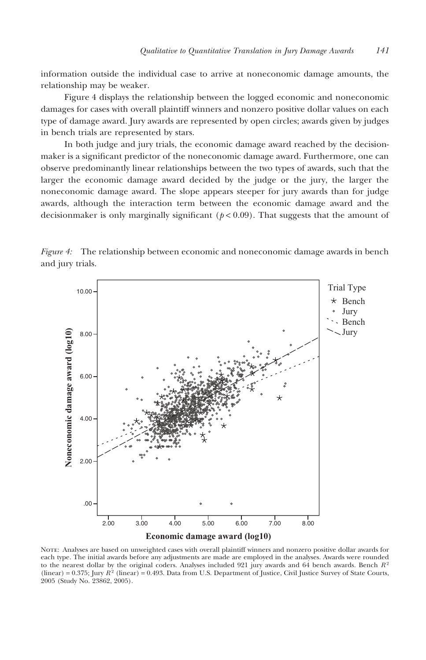information outside the individual case to arrive at noneconomic damage amounts, the relationship may be weaker.

Figure 4 displays the relationship between the logged economic and noneconomic damages for cases with overall plaintiff winners and nonzero positive dollar values on each type of damage award. Jury awards are represented by open circles; awards given by judges in bench trials are represented by stars.

In both judge and jury trials, the economic damage award reached by the decisionmaker is a significant predictor of the noneconomic damage award. Furthermore, one can observe predominantly linear relationships between the two types of awards, such that the larger the economic damage award decided by the judge or the jury, the larger the noneconomic damage award. The slope appears steeper for jury awards than for judge awards, although the interaction term between the economic damage award and the decisionmaker is only marginally significant  $(p < 0.09)$ . That suggests that the amount of

*Figure 4:* The relationship between economic and noneconomic damage awards in bench and jury trials.



Note: Analyses are based on unweighted cases with overall plaintiff winners and nonzero positive dollar awards for each type. The initial awards before any adjustments are made are employed in the analyses. Awards were rounded to the nearest dollar by the original coders. Analyses included 921 jury awards and 64 bench awards. Bench  $R^2$  $(linear) = 0.375$ ; Jury  $R^2$  (linear) = 0.493. Data from U.S. Department of Justice, Civil Justice Survey of State Courts, 2005 (Study No. 23862, 2005).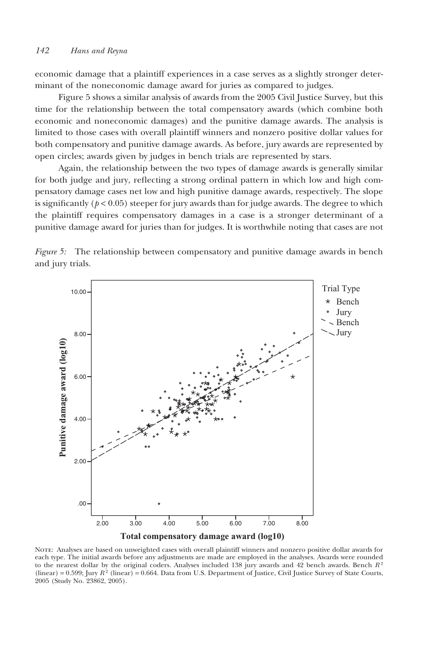economic damage that a plaintiff experiences in a case serves as a slightly stronger determinant of the noneconomic damage award for juries as compared to judges.

Figure 5 shows a similar analysis of awards from the 2005 Civil Justice Survey, but this time for the relationship between the total compensatory awards (which combine both economic and noneconomic damages) and the punitive damage awards. The analysis is limited to those cases with overall plaintiff winners and nonzero positive dollar values for both compensatory and punitive damage awards. As before, jury awards are represented by open circles; awards given by judges in bench trials are represented by stars.

Again, the relationship between the two types of damage awards is generally similar for both judge and jury, reflecting a strong ordinal pattern in which low and high compensatory damage cases net low and high punitive damage awards, respectively. The slope is significantly  $(p < 0.05)$  steeper for jury awards than for judge awards. The degree to which the plaintiff requires compensatory damages in a case is a stronger determinant of a punitive damage award for juries than for judges. It is worthwhile noting that cases are not





Note: Analyses are based on unweighted cases with overall plaintiff winners and nonzero positive dollar awards for each type. The initial awards before any adjustments are made are employed in the analyses. Awards were rounded to the nearest dollar by the original coders. Analyses included 138 jury awards and 42 bench awards. Bench  $R^2$  $(linear) = 0.599$ ; Jury  $R^2$  (linear) = 0.664. Data from U.S. Department of Justice, Civil Justice Survey of State Courts, 2005 (Study No. 23862, 2005).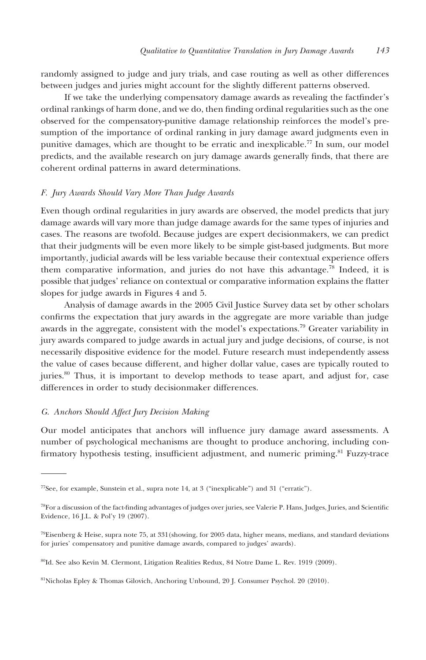randomly assigned to judge and jury trials, and case routing as well as other differences between judges and juries might account for the slightly different patterns observed.

If we take the underlying compensatory damage awards as revealing the factfinder's ordinal rankings of harm done, and we do, then finding ordinal regularities such as the one observed for the compensatory-punitive damage relationship reinforces the model's presumption of the importance of ordinal ranking in jury damage award judgments even in punitive damages, which are thought to be erratic and inexplicable.<sup>77</sup> In sum, our model predicts, and the available research on jury damage awards generally finds, that there are coherent ordinal patterns in award determinations.

#### *F. Jury Awards Should Vary More Than Judge Awards*

Even though ordinal regularities in jury awards are observed, the model predicts that jury damage awards will vary more than judge damage awards for the same types of injuries and cases. The reasons are twofold. Because judges are expert decisionmakers, we can predict that their judgments will be even more likely to be simple gist-based judgments. But more importantly, judicial awards will be less variable because their contextual experience offers them comparative information, and juries do not have this advantage.78 Indeed, it is possible that judges' reliance on contextual or comparative information explains the flatter slopes for judge awards in Figures 4 and 5.

Analysis of damage awards in the 2005 Civil Justice Survey data set by other scholars confirms the expectation that jury awards in the aggregate are more variable than judge awards in the aggregate, consistent with the model's expectations.79 Greater variability in jury awards compared to judge awards in actual jury and judge decisions, of course, is not necessarily dispositive evidence for the model. Future research must independently assess the value of cases because different, and higher dollar value, cases are typically routed to juries.<sup>80</sup> Thus, it is important to develop methods to tease apart, and adjust for, case differences in order to study decisionmaker differences.

#### *G. Anchors Should Affect Jury Decision Making*

Our model anticipates that anchors will influence jury damage award assessments. A number of psychological mechanisms are thought to produce anchoring, including confirmatory hypothesis testing, insufficient adjustment, and numeric priming.<sup>81</sup> Fuzzy-trace

 $^{77}$ See, for example, Sunstein et al., supra note 14, at 3 ("inexplicable") and 31 ("erratic").

<sup>78</sup>For a discussion of the fact-finding advantages of judges over juries, see Valerie P. Hans, Judges, Juries, and Scientific Evidence, 16 J.L. & Pol'y 19 (2007).

<sup>&</sup>lt;sup>79</sup>Eisenberg & Heise, supra note 75, at 331(showing, for 2005 data, higher means, medians, and standard deviations for juries' compensatory and punitive damage awards, compared to judges' awards).

<sup>80</sup>Id. See also Kevin M. Clermont, Litigation Realities Redux, 84 Notre Dame L. Rev. 1919 (2009).

<sup>81</sup>Nicholas Epley & Thomas Gilovich, Anchoring Unbound, 20 J. Consumer Psychol. 20 (2010).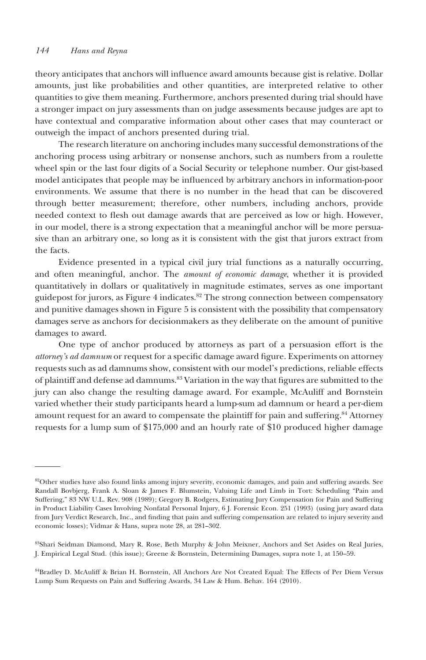theory anticipates that anchors will influence award amounts because gist is relative. Dollar amounts, just like probabilities and other quantities, are interpreted relative to other quantities to give them meaning. Furthermore, anchors presented during trial should have a stronger impact on jury assessments than on judge assessments because judges are apt to have contextual and comparative information about other cases that may counteract or outweigh the impact of anchors presented during trial.

The research literature on anchoring includes many successful demonstrations of the anchoring process using arbitrary or nonsense anchors, such as numbers from a roulette wheel spin or the last four digits of a Social Security or telephone number. Our gist-based model anticipates that people may be influenced by arbitrary anchors in information-poor environments. We assume that there is no number in the head that can be discovered through better measurement; therefore, other numbers, including anchors, provide needed context to flesh out damage awards that are perceived as low or high. However, in our model, there is a strong expectation that a meaningful anchor will be more persuasive than an arbitrary one, so long as it is consistent with the gist that jurors extract from the facts.

Evidence presented in a typical civil jury trial functions as a naturally occurring, and often meaningful, anchor. The *amount of economic damage*, whether it is provided quantitatively in dollars or qualitatively in magnitude estimates, serves as one important guidepost for jurors, as Figure 4 indicates.82 The strong connection between compensatory and punitive damages shown in Figure 5 is consistent with the possibility that compensatory damages serve as anchors for decisionmakers as they deliberate on the amount of punitive damages to award.

One type of anchor produced by attorneys as part of a persuasion effort is the *attorney's ad damnum* or request for a specific damage award figure. Experiments on attorney requests such as ad damnums show, consistent with our model's predictions, reliable effects of plaintiff and defense ad damnums.<sup>83</sup> Variation in the way that figures are submitted to the jury can also change the resulting damage award. For example, McAuliff and Bornstein varied whether their study participants heard a lump-sum ad damnum or heard a per-diem amount request for an award to compensate the plaintiff for pain and suffering.<sup>84</sup> Attorney requests for a lump sum of \$175,000 and an hourly rate of \$10 produced higher damage

<sup>&</sup>lt;sup>82</sup>Other studies have also found links among injury severity, economic damages, and pain and suffering awards. See Randall Bovbjerg, Frank A. Sloan & James F. Blumstein, Valuing Life and Limb in Tort: Scheduling "Pain and Suffering," 83 NW U.L. Rev. 908 (1989); Gregory B. Rodgers, Estimating Jury Compensation for Pain and Suffering in Product Liability Cases Involving Nonfatal Personal Injury, 6 J. Forensic Econ. 251 (1993) (using jury award data from Jury Verdict Research, Inc., and finding that pain and suffering compensation are related to injury severity and economic losses); Vidmar & Hans, supra note 28, at 281–302.

<sup>83</sup>Shari Seidman Diamond, Mary R. Rose, Beth Murphy & John Meixner, Anchors and Set Asides on Real Juries, J. Empirical Legal Stud. (this issue); Greene & Bornstein, Determining Damages, supra note 1, at 150–59.

<sup>84</sup>Bradley D. McAuliff & Brian H. Bornstein, All Anchors Are Not Created Equal: The Effects of Per Diem Versus Lump Sum Requests on Pain and Suffering Awards, 34 Law & Hum. Behav. 164 (2010).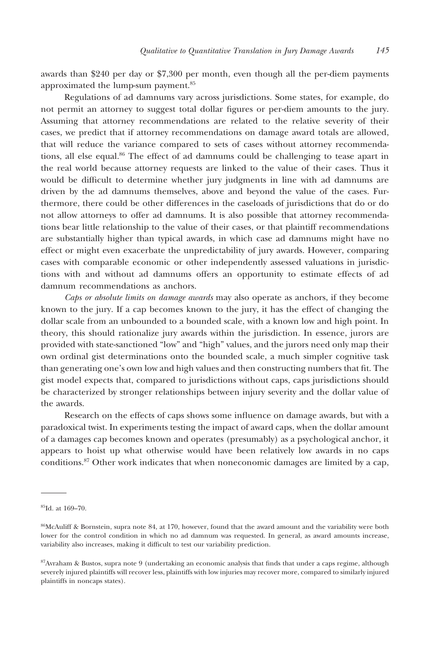awards than \$240 per day or \$7,300 per month, even though all the per-diem payments approximated the lump-sum payment.85

Regulations of ad damnums vary across jurisdictions. Some states, for example, do not permit an attorney to suggest total dollar figures or per-diem amounts to the jury. Assuming that attorney recommendations are related to the relative severity of their cases, we predict that if attorney recommendations on damage award totals are allowed, that will reduce the variance compared to sets of cases without attorney recommendations, all else equal.<sup>86</sup> The effect of ad damnums could be challenging to tease apart in the real world because attorney requests are linked to the value of their cases. Thus it would be difficult to determine whether jury judgments in line with ad damnums are driven by the ad damnums themselves, above and beyond the value of the cases. Furthermore, there could be other differences in the caseloads of jurisdictions that do or do not allow attorneys to offer ad damnums. It is also possible that attorney recommendations bear little relationship to the value of their cases, or that plaintiff recommendations are substantially higher than typical awards, in which case ad damnums might have no effect or might even exacerbate the unpredictability of jury awards. However, comparing cases with comparable economic or other independently assessed valuations in jurisdictions with and without ad damnums offers an opportunity to estimate effects of ad damnum recommendations as anchors.

*Caps or absolute limits on damage awards* may also operate as anchors, if they become known to the jury. If a cap becomes known to the jury, it has the effect of changing the dollar scale from an unbounded to a bounded scale, with a known low and high point. In theory, this should rationalize jury awards within the jurisdiction. In essence, jurors are provided with state-sanctioned "low" and "high" values, and the jurors need only map their own ordinal gist determinations onto the bounded scale, a much simpler cognitive task than generating one's own low and high values and then constructing numbers that fit. The gist model expects that, compared to jurisdictions without caps, caps jurisdictions should be characterized by stronger relationships between injury severity and the dollar value of the awards.

Research on the effects of caps shows some influence on damage awards, but with a paradoxical twist. In experiments testing the impact of award caps, when the dollar amount of a damages cap becomes known and operates (presumably) as a psychological anchor, it appears to hoist up what otherwise would have been relatively low awards in no caps conditions.87 Other work indicates that when noneconomic damages are limited by a cap,

<sup>85</sup>Id. at 169–70.

<sup>86</sup>McAuliff & Bornstein, supra note 84, at 170, however, found that the award amount and the variability were both lower for the control condition in which no ad damnum was requested. In general, as award amounts increase, variability also increases, making it difficult to test our variability prediction.

<sup>87</sup>Avraham & Bustos, supra note 9 (undertaking an economic analysis that finds that under a caps regime, although severely injured plaintiffs will recover less, plaintiffs with low injuries may recover more, compared to similarly injured plaintiffs in noncaps states).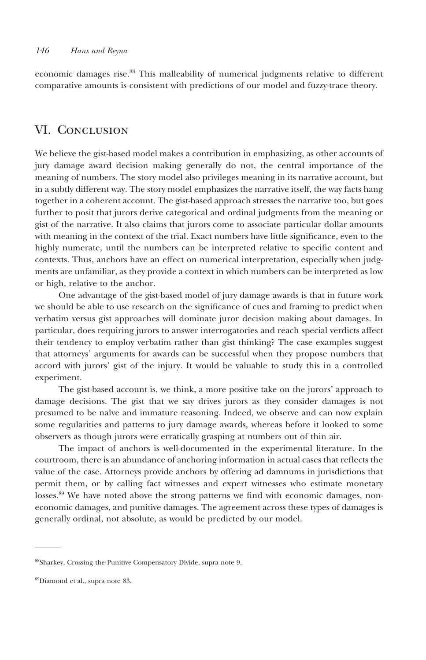economic damages rise.<sup>88</sup> This malleability of numerical judgments relative to different comparative amounts is consistent with predictions of our model and fuzzy-trace theory.

## VI. Conclusion

We believe the gist-based model makes a contribution in emphasizing, as other accounts of jury damage award decision making generally do not, the central importance of the meaning of numbers. The story model also privileges meaning in its narrative account, but in a subtly different way. The story model emphasizes the narrative itself, the way facts hang together in a coherent account. The gist-based approach stresses the narrative too, but goes further to posit that jurors derive categorical and ordinal judgments from the meaning or gist of the narrative. It also claims that jurors come to associate particular dollar amounts with meaning in the context of the trial. Exact numbers have little significance, even to the highly numerate, until the numbers can be interpreted relative to specific content and contexts. Thus, anchors have an effect on numerical interpretation, especially when judgments are unfamiliar, as they provide a context in which numbers can be interpreted as low or high, relative to the anchor.

One advantage of the gist-based model of jury damage awards is that in future work we should be able to use research on the significance of cues and framing to predict when verbatim versus gist approaches will dominate juror decision making about damages. In particular, does requiring jurors to answer interrogatories and reach special verdicts affect their tendency to employ verbatim rather than gist thinking? The case examples suggest that attorneys' arguments for awards can be successful when they propose numbers that accord with jurors' gist of the injury. It would be valuable to study this in a controlled experiment.

The gist-based account is, we think, a more positive take on the jurors' approach to damage decisions. The gist that we say drives jurors as they consider damages is not presumed to be naïve and immature reasoning. Indeed, we observe and can now explain some regularities and patterns to jury damage awards, whereas before it looked to some observers as though jurors were erratically grasping at numbers out of thin air.

The impact of anchors is well-documented in the experimental literature. In the courtroom, there is an abundance of anchoring information in actual cases that reflects the value of the case. Attorneys provide anchors by offering ad damnums in jurisdictions that permit them, or by calling fact witnesses and expert witnesses who estimate monetary losses.<sup>89</sup> We have noted above the strong patterns we find with economic damages, noneconomic damages, and punitive damages. The agreement across these types of damages is generally ordinal, not absolute, as would be predicted by our model.

<sup>88</sup>Sharkey, Crossing the Punitive-Compensatory Divide, supra note 9.

<sup>89</sup>Diamond et al., supra note 83.